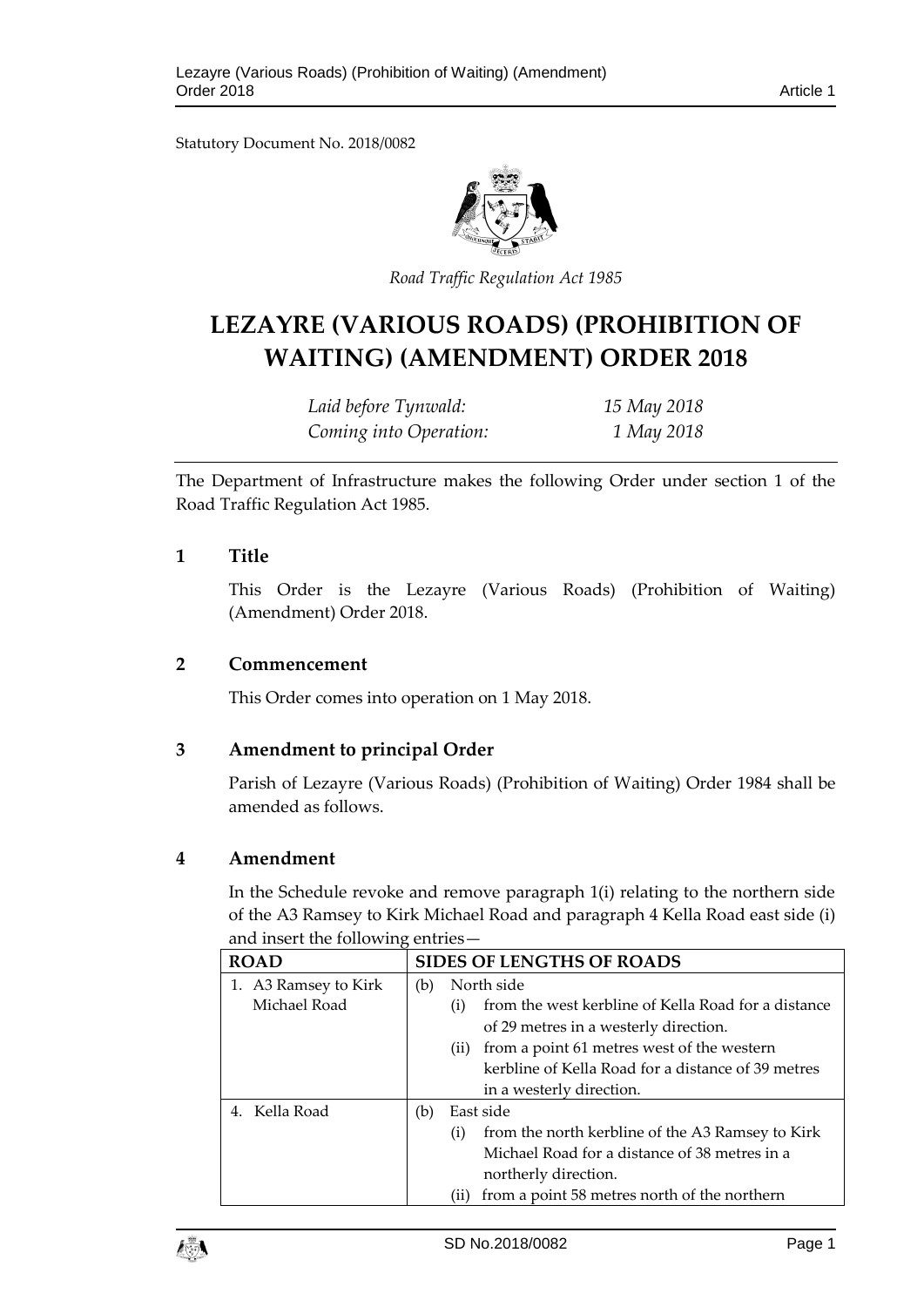Statutory Document No. 2018/0082



*Road Traffic Regulation Act 1985*

# **LEZAYRE (VARIOUS ROADS) (PROHIBITION OF WAITING) (AMENDMENT) ORDER 2018**

| Laid before Tynwald:   | 15 May 2018 |
|------------------------|-------------|
| Coming into Operation: | 1 May 2018  |

The Department of Infrastructure makes the following Order under section 1 of the Road Traffic Regulation Act 1985.

## **1 Title**

This Order is the Lezayre (Various Roads) (Prohibition of Waiting) (Amendment) Order 2018.

#### **2 Commencement**

This Order comes into operation on 1 May 2018.

# **3 Amendment to principal Order**

Parish of Lezayre (Various Roads) (Prohibition of Waiting) Order 1984 shall be amended as follows.

#### **4 Amendment**

In the Schedule revoke and remove paragraph 1(i) relating to the northern side of the A3 Ramsey to Kirk Michael Road and paragraph 4 Kella Road east side (i) and insert the following entries—

| <b>ROAD</b>          |     | <b>SIDES OF LENGTHS OF ROADS</b>                           |
|----------------------|-----|------------------------------------------------------------|
| 1. A3 Ramsey to Kirk | (b) | North side                                                 |
| Michael Road         |     | from the west kerbline of Kella Road for a distance<br>(i) |
|                      |     | of 29 metres in a westerly direction.                      |
|                      |     | from a point 61 metres west of the western<br>(ii)         |
|                      |     | kerbline of Kella Road for a distance of 39 metres         |
|                      |     | in a westerly direction.                                   |
| 4. Kella Road        | (b) | East side                                                  |
|                      |     | from the north kerbline of the A3 Ramsey to Kirk<br>(i)    |
|                      |     | Michael Road for a distance of 38 metres in a              |
|                      |     | northerly direction.                                       |
|                      |     | from a point 58 metres north of the northern<br>(i)        |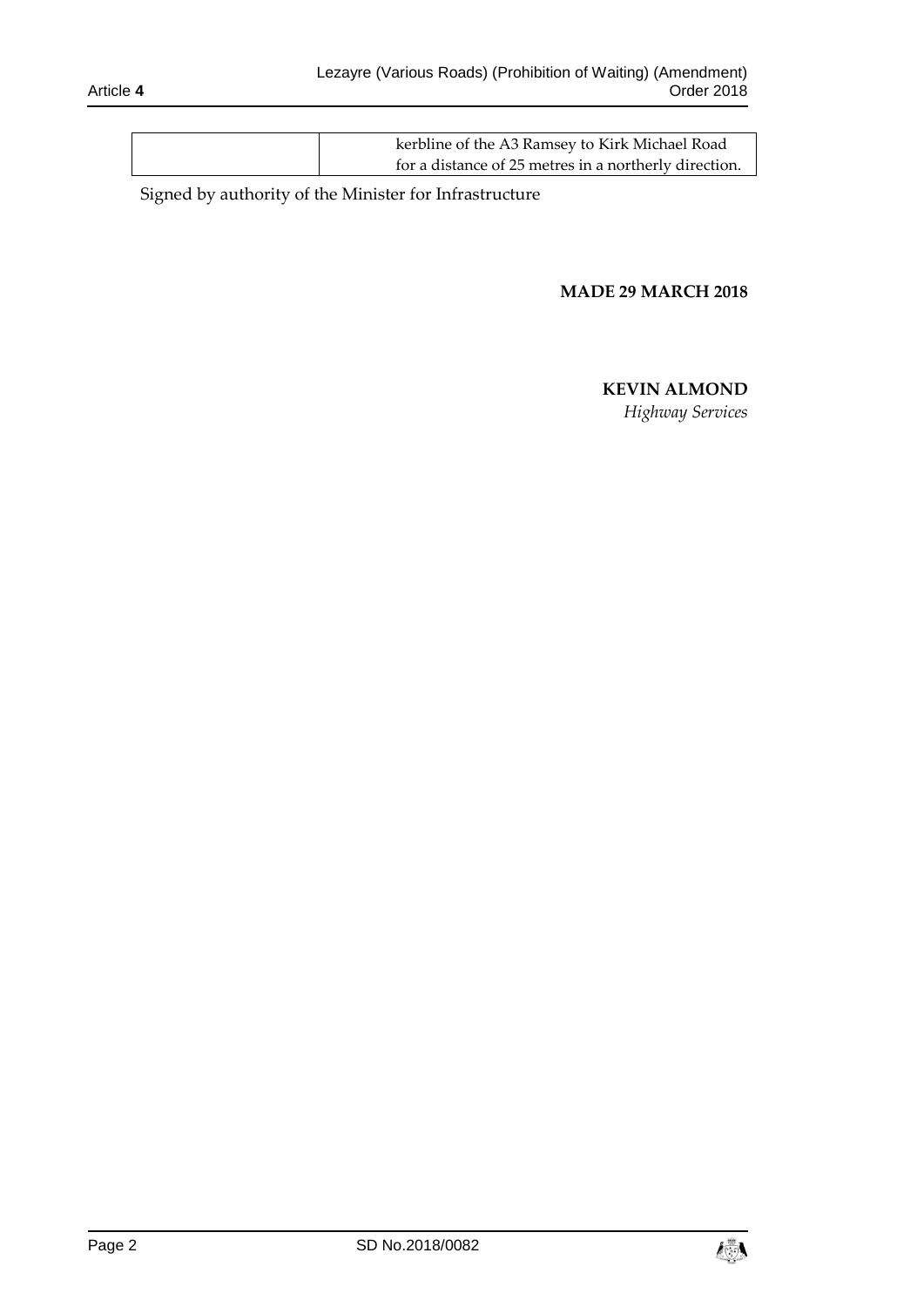| kerbline of the A3 Ramsey to Kirk Michael Road        |
|-------------------------------------------------------|
| for a distance of 25 metres in a northerly direction. |

Signed by authority of the Minister for Infrastructure

#### **MADE 29 MARCH 2018**

## **KEVIN ALMOND**

*Highway Services*